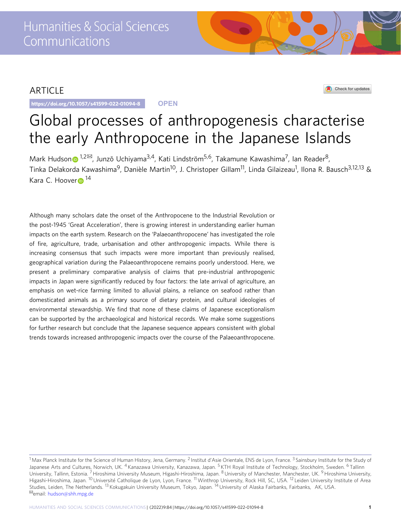# ARTICLE

https://doi.org/10.1057/s41599-022-01094-8 **OPEN**

# Check for updates

# Global processes of anthropogenesis characterise the early Anthropocene in the Japanese Islands

Mark Hudso[n](http://orcid.org/0000-0002-9483-9303)  $\bullet$  [1](http://orcid.org/0000-0002-9483-9303),2 $\text{M}$ , Junzō Uchiyama<sup>3,4</sup>, Kati Lindström<sup>5,6</sup>, Takamune Kawashima<sup>7</sup>, Ian Reader<sup>8</sup>, Tinka Delakorda Kawashima<sup>9</sup>, Danièle Martin<sup>10</sup>, J. Christoper Gillam<sup>11</sup>, Linda Gilaizeau<sup>1</sup>, Ilona R. Bausch<sup>3,12,13</sup> & Ka[r](http://orcid.org/0000-0001-6394-930X)a C. Hoover<sup>[1](http://orcid.org/0000-0001-6394-930X)4</sup>

Although many scholars date the onset of the Anthropocene to the Industrial Revolution or the post-1945 'Great Acceleration', there is growing interest in understanding earlier human impacts on the earth system. Research on the 'Palaeoanthropocene' has investigated the role of fire, agriculture, trade, urbanisation and other anthropogenic impacts. While there is increasing consensus that such impacts were more important than previously realised, geographical variation during the Palaeoanthropocene remains poorly understood. Here, we present a preliminary comparative analysis of claims that pre-industrial anthropogenic impacts in Japan were significantly reduced by four factors: the late arrival of agriculture, an emphasis on wet-rice farming limited to alluvial plains, a reliance on seafood rather than domesticated animals as a primary source of dietary protein, and cultural ideologies of environmental stewardship. We find that none of these claims of Japanese exceptionalism can be supported by the archaeological and historical records. We make some suggestions for further research but conclude that the Japanese sequence appears consistent with global trends towards increased anthropogenic impacts over the course of the Palaeoanthropocene.

<sup>&</sup>lt;sup>1</sup> Max Planck Institute for the Science of Human History, Jena, Germany. <sup>2</sup> Institut d'Asie Orientale, ENS de Lyon, France. <sup>3</sup> Sainsbury Institute for the Study of Japanese Arts and Cultures, Norwich, UK. <sup>4</sup> Kanazawa University, Kanazawa, Japan. <sup>5</sup> KTH Royal Institute of Technology, Stockholm, Sweden. <sup>6</sup> Tallinn University, Tallinn, Estonia. <sup>7</sup> Hiroshima University Museum, Higashi-Hiroshima, Japan. <sup>8</sup> University of Manchester, Manchester, UK. <sup>9</sup> Hiroshima University, Higashi-Hiroshima, Japan. <sup>10</sup> Université Catholique de Lyon, Lyon, France. 11Winthrop University, Rock Hill, SC, USA. <sup>12</sup> Leiden University Institute of Area Studies, Leiden, The Netherlands. <sup>13</sup> Kokugakuin University Museum, Tokyo, Japan. <sup>14</sup> University of Alaska Fairbanks, Fairbanks, AK, USA.<br><sup>⊠</sup>email: [hudson@shh.mpg.de](mailto:hudson@shh.mpg.de)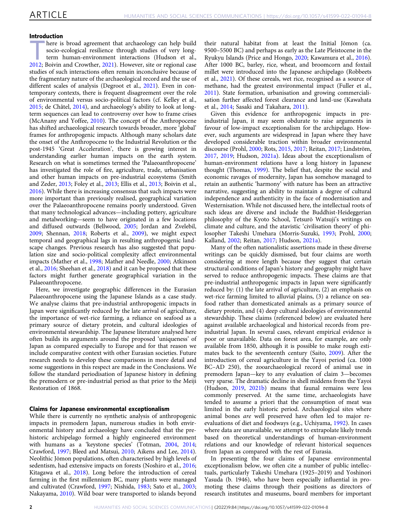# Introduction

here is broad agreement that archaeology can help build socio-ecological resilience through studies of very longterm human-environment interactions (Hudson et al., [2012;](#page-8-0) Boivin and Crowther, [2021\)](#page-7-0). However, site or regional case studies of such interactions often remain inconclusive because of the fragmentary nature of the archaeological record and the use of different scales of analysis (Degroot et al., [2021](#page-8-0)). Even in contemporary contexts, there is frequent disagreement over the role of environmental versus socio-political factors (cf. Kelley et al., [2015;](#page-8-0) de Châtel, [2014](#page-8-0)), and archaeology's ability to look at longterm sequences can lead to controversy over how to frame crises (McAnany and Yoffee, [2010](#page-9-0)). The concept of the Anthropocene has shifted archaeological research towards broader, more 'global' frames for anthropogenic impacts. Although many scholars date the onset of the Anthropocene to the Industrial Revolution or the post-1945 'Great Acceleration', there is growing interest in understanding earlier human impacts on the earth system. Research on what is sometimes termed the 'Palaeoanthropocene' has investigated the role of fire, agriculture, trade, urbanisation and other human impacts on pre-industrial ecosystems (Smith and Zeder, [2013](#page-9-0); Foley et al., [2013](#page-8-0); Ellis et al., [2013](#page-8-0); Boivin et al., [2016\)](#page-7-0). While there is increasing consensus that such impacts were more important than previously realised, geographical variation over the Palaeoanthropocene remains poorly understood. Given that many technological advances—including pottery, agriculture and metalworking—seem to have originated in a few locations and diffused outwards (Bellwood, [2005](#page-7-0); Jordan and Zvelebil, [2009;](#page-8-0) Shennan, [2018](#page-9-0); Roberts et al., [2009](#page-9-0)), we might expect temporal and geographical lags in resulting anthropogenic landscape changes. Previous research has also suggested that population size and socio-political complexity affect environmental impacts (Mather et al., [1998;](#page-9-0) Mather and Needle, [2000;](#page-9-0) Atkinson et al., [2016;](#page-7-0) Sheehan et al., [2018](#page-9-0)) and it can be proposed that these factors might further generate geographical variation in the Palaeoanthropocene.

Here, we investigate geographic differences in the Eurasian Palaeoanthropocene using the Japanese Islands as a case study. We analyse claims that pre-industrial anthropogenic impacts in Japan were significantly reduced by the late arrival of agriculture, the importance of wet-rice farming, a reliance on seafood as a primary source of dietary protein, and cultural ideologies of environmental stewardship. The Japanese literature analysed here often builds its arguments around the proposed 'uniqueness' of Japan as compared especially to Europe and for that reason we include comparative context with other Eurasian societies. Future research needs to develop these comparisons in more detail and some suggestions in this respect are made in the Conclusions. We follow the standard periodisation of Japanese history in defining the premodern or pre-industrial period as that prior to the Meiji Restoration of 1868.

# Claims for Japanese environmental exceptionalism

While there is currently no synthetic analysis of anthropogenic impacts in premodern Japan, numerous studies in both environmental history and archaeology have concluded that the prehistoric archipelago formed a highly engineered environment with humans as a 'keystone species' (Totman, [2004](#page-10-0), [2014;](#page-10-0) Crawford, [1997;](#page-8-0) Bleed and Matsui, [2010;](#page-7-0) Aikens and Lee, [2014](#page-7-0)). Neolithic Jōmon populations, often characterised by high levels of sedentism, had extensive impacts on forests (Noshiro et al., [2016;](#page-9-0) Kitagawa et al., [2018\)](#page-8-0). Long before the introduction of cereal farming in the first millennium BC, many plants were managed and cultivated (Crawford, [1997](#page-8-0); Nishida, [1983](#page-9-0); Sato et al., [2003;](#page-9-0) Nakayama, [2010\)](#page-9-0). Wild boar were transported to islands beyond

their natural habitat from at least the Initial Jōmon (ca. 9500–5500 BC) and perhaps as early as the Late Pleistocene in the Ryukyu Islands (Price and Hongo, [2020](#page-9-0); Kawamura et al., [2016](#page-8-0)). After 1000 BC, barley, rice, wheat, and broomcorn and foxtail millet were introduced into the Japanese archipelago (Robbeets et al., [2021](#page-9-0)). Of these cereals, wet rice, recognised as a source of methane, had the greatest environmental impact (Fuller et al., [2011\)](#page-8-0). State formation, urbanisation and growing commercialisation further affected forest clearance and land-use (Kawahata et al., [2014](#page-8-0); Sasaki and Takahara, [2011](#page-9-0)).

Given this evidence for anthropogenic impacts in preindustrial Japan, it may seem obdurate to raise arguments in favour of low-impact exceptionalism for the archipelago. However, such arguments are widespread in Japan where they have developed considerable traction within broader environmental discourse (Prohl, [2000;](#page-9-0) Rots, [2015,](#page-9-0) [2017](#page-9-0); Reitan, [2017](#page-9-0); Lindström, [2017,](#page-9-0) [2019;](#page-9-0) Hudson, [2021a](#page-8-0)). Ideas about the exceptionalism of human-environment relations have a long history in Japanese thought (Thomas, [1999](#page-10-0)). The belief that, despite the social and economic ravages of modernity, Japan has somehow managed to retain an authentic 'harmony' with nature has been an attractive narrative, suggesting an ability to maintain a degree of cultural independence and authenticity in the face of modernisation and Westernisation. While not discussed here, the intellectual roots of such ideas are diverse and include the Buddhist-Heideggerian philosophy of the Kyoto School, Tetsurō Watsuji's writings on climate and culture, and the atavistic 'civilisation theory' of philosopher Takeshi Umehara (Morris-Suzuki, [1993](#page-9-0); Prohl, [2000;](#page-9-0) Kalland, [2002](#page-8-0); Reitan, [2017](#page-9-0); Hudson, [2021a](#page-8-0)).

Many of the often nationalistic assertions made in these diverse writings can be quickly dismissed, but four claims are worth considering at more length because they suggest that certain structural conditions of Japan's history and geography might have served to reduce anthropogenic impacts. These claims are that pre-industrial anthropogenic impacts in Japan were significantly reduced by: (1) the late arrival of agriculture, (2) an emphasis on wet-rice farming limited to alluvial plains, (3) a reliance on seafood rather than domesticated animals as a primary source of dietary protein, and (4) deep cultural ideologies of environmental stewardship. These claims (referenced below) are evaluated here against available archaeological and historical records from preindustrial Japan. In several cases, relevant empirical evidence is poor or unavailable. Data on forest area, for example, are only available from 1850, although it is possible to make rough estimates back to the seventeenth century (Saito, [2009\)](#page-9-0). After the introduction of cereal agriculture in the Yayoi period (ca. 1000 BC–AD 250), the zooarchaeological record of animal use in premodern Japan—key to any evaluation of claim 3—becomes very sparse. The dramatic decline in shell middens from the Yayoi (Hudson, [2019,](#page-8-0) [2021b\)](#page-8-0) means that faunal remains were less commonly preserved. At the same time, archaeologists have tended to assume a priori that the consumption of meat was limited in the early historic period. Archaeological sites where animal bones are well preserved have often led to major reevaluations of diet and foodways (e.g., Uchiyama, [1992\)](#page-10-0). In cases where data are unavailable, we attempt to extrapolate likely trends based on theoretical understandings of human-environment relations and our knowledge of relevant historical sequences from Japan as compared with the rest of Eurasia.

In presenting the four claims of Japanese environmental exceptionalism below, we often cite a number of public intellectuals, particularly Takeshi Umehara (1925–2019) and Yoshinori Yasuda (b. 1946), who have been especially influential in promoting these claims through their positions as directors of research institutes and museums, board members for important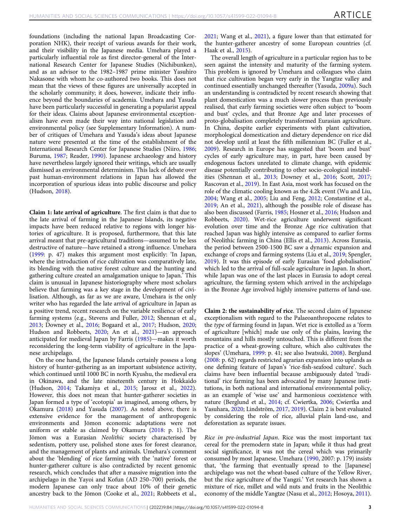foundations (including the national Japan Broadcasting Corporation NHK), their receipt of various awards for their work, and their visibility in the Japanese media. Umehara played a particularly influential role as first director-general of the International Research Center for Japanese Studies (Nichibunken), and as an advisor to the 1982–1987 prime minister Yasuhiro Nakasone with whom he co-authored two books. This does not mean that the views of these figures are universally accepted in the scholarly community; it does, however, indicate their influence beyond the boundaries of academia. Umehara and Yasuda have been particularly successful in generating a popularist appeal for their ideas. Claims about Japanese environmental exceptionalism have even made their way into national legislation and environmental policy (see Supplementary Information). A number of critiques of Umehara and Yasuda's ideas about Japanese nature were presented at the time of the establishment of the International Research Center for Japanese Studies (Niiro, [1986;](#page-9-0) Buruma, [1987](#page-7-0); Reader, [1990\)](#page-9-0). Japanese archaeology and history have nevertheless largely ignored their writings, which are usually dismissed as environmental determinism. This lack of debate over past human-environment relations in Japan has allowed the incorporation of spurious ideas into public discourse and policy (Hudson, [2018\)](#page-8-0).

Claim 1: late arrival of agriculture. The first claim is that due to the late arrival of farming in the Japanese Islands, its negative impacts have been reduced relative to regions with longer histories of agriculture. It is proposed, furthermore, that this late arrival meant that pre-agricultural traditions—assumed to be less destructive of nature—have retained a strong influence. Umehara ([1999:](#page-10-0) p. 47) makes this argument most explicitly: 'In Japan, where the introduction of rice cultivation was comparatively late, its blending with the native forest culture and the hunting and gathering culture created an amalgamation unique to Japan.' This claim is unusual in Japanese historiography where most scholars believe that farming was a key stage in the development of civilisation. Although, as far as we are aware, Umehara is the only writer who has regarded the late arrival of agriculture in Japan as a positive trend, recent research on the variable resilience of early farming systems (e.g., Stevens and Fuller, [2012;](#page-9-0) Shennan et al., [2013;](#page-9-0) Downey et al., [2016;](#page-8-0) Bogaard et al., [2017](#page-7-0); Hudson, [2020;](#page-8-0) Hudson and Robbeets, [2020;](#page-8-0) An et al., [2021\)](#page-7-0)—an approach anticipated for medieval Japan by Farris ([1985](#page-8-0))—makes it worth reconsidering the long-term viability of agriculture in the Japanese archipelago.

On the one hand, the Japanese Islands certainly possess a long history of hunter-gathering as an important subsistence activity, which continued until 1000 BC in north Kyushu, the medieval era in Okinawa, and the late nineteenth century in Hokkaido (Hudson, [2014](#page-8-0); Takamiya et al., [2015](#page-10-0); Jarosz et al., [2022](#page-8-0)). However, this does not mean that hunter-gatherer societies in Japan formed a type of 'ecotopia' as imagined, among others, by Okamura [\(2018](#page-9-0)) and Yasuda [\(2007](#page-10-0)). As noted above, there is extensive evidence for the management of anthropogenic environments and Jōmon economic adaptations were not uniform or stable as claimed by Okamura ([2018:](#page-9-0) p. 1). The Jōmon was a Eurasian Neolithic society characterised by sedentism, pottery use, polished stone axes for forest clearance, and the management of plants and animals. Umehara's comment about the 'blending' of rice farming with the 'native' forest or hunter-gatherer culture is also contradicted by recent genomic research, which concludes that after a massive migration into the archipelago in the Yayoi and Kofun (AD 250–700) periods, the modern Japanese can only trace about 10% of their genetic ancestry back to the Jōmon (Cooke et al., [2021;](#page-7-0) Robbeets et al.,

[2021;](#page-9-0) Wang et al., [2021](#page-10-0)), a figure lower than that estimated for the hunter-gatherer ancestry of some European countries (cf. Haak et al., [2015\)](#page-8-0).

The overall length of agriculture in a particular region has to be seen against the intensity and maturity of the farming system. This problem is ignored by Umehara and colleagues who claim that rice cultivation began very early in the Yangtze valley and continued essentially unchanged thereafter (Yasuda, [2009a\)](#page-10-0). Such an understanding is contradicted by recent research showing that plant domestication was a much slower process than previously realised, that early farming societies were often subject to 'boom and bust' cycles, and that Bronze Age and later processes of proto-globalisation completely transformed Eurasian agriculture. In China, despite earlier experiments with plant cultivation, morphological domestication and dietary dependence on rice did not develop until at least the fifth millennium BC (Fuller et al., [2009\)](#page-8-0). Research in Europe has suggested that 'boom and bust' cycles of early agriculture may, in part, have been caused by endogenous factors unrelated to climate change, with epidemic disease potentially contributing to other socio-ecological instabilities (Shennan et al., [2013](#page-9-0); Downey et al., [2016;](#page-8-0) Scott, [2017;](#page-9-0) Rascovan et al., [2019\)](#page-9-0). In East Asia, most work has focused on the role of the climatic cooling known as the 4.2k event (Wu and Liu, [2004;](#page-10-0) Wang et al., [2005;](#page-10-0) Liu and Feng, [2012](#page-9-0); Constantine et al., [2019;](#page-7-0) An et al., [2021](#page-7-0)), although the possible role of disease has also been discussed (Farris, [1985;](#page-8-0) Hosner et al., [2016;](#page-8-0) Hudson and Robbeets, [2020\)](#page-8-0). Wet-rice agriculture underwent significant evolution over time and the Bronze Age rice cultivation that reached Japan was highly intensive as compared to earlier forms of Neolithic farming in China (Ellis et al., [2013\)](#page-8-0). Across Eurasia, the period between 2500-1500 BC saw a dynamic expansion and exchange of crops and farming systems (Liu et al., [2019;](#page-9-0) Spengler, [2019\)](#page-9-0). It was this episode of early Eurasian 'food globalisation' which led to the arrival of full-scale agriculture in Japan. In short, while Japan was one of the last places in Eurasia to adopt cereal agriculture, the farming system which arrived in the archipelago in the Bronze Age involved highly intensive patterns of land-use.

Claim 2: the sustainability of rice. The second claim of Japanese exceptionalism with regard to the Palaeoanthropocene relates to the type of farming found in Japan. Wet rice is extolled as a 'form of agriculture [which] made use only of the plains, leaving the mountains and hills mostly untouched. This is different from the practice of a wheat-growing culture, which also cultivates the slopes' (Umehara, [1999](#page-10-0): p. 41; see also Iwatsuki, [2008\)](#page-8-0). Berglund ([2008](#page-7-0): p. 62) regards restricted agrarian expansion into uplands as one defining feature of Japan's 'rice-fish-seafood culture'. Such claims have been influential because ambiguously dated 'traditional' rice farming has been advocated by many Japanese institutions, in both national and international environmental policy, as an example of 'wise use' and harmonious coexistence with nature (Berglund et al., [2014;](#page-7-0) cf. Cwiertka, [2006;](#page-8-0) Cwiertka and Yasuhara, [2020](#page-8-0); Lindström, [2017](#page-9-0), [2019\)](#page-9-0). Claim 2 is best evaluated by considering the role of rice, alluvial plain land-use, and deforestation as separate issues.

Rice in pre-industrial Japan. Rice was the most important tax cereal for the premodern state in Japan; while it thus had great social significance, it was not the cereal which was primarily consumed by most Japanese. Umehara ([1990](#page-10-0), 2007: p. 179) insists that, 'the farming that eventually spread to the [Japanese] archipelago was not the wheat-based culture of the Yellow River, but the rice agriculture of the Yangzi.' Yet research has shown a mixture of rice, millet and wild nuts and fruits in the Neolithic economy of the middle Yangtze (Nasu et al., [2012;](#page-9-0) Hosoya, [2011](#page-8-0)).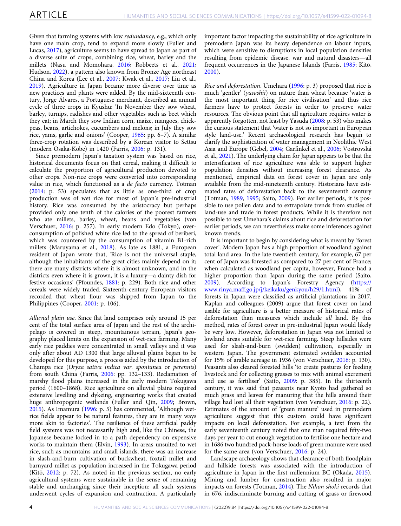Given that farming systems with low redundancy, e.g., which only have one main crop, tend to expand more slowly (Fuller and Lucas, [2017\)](#page-8-0), agriculture seems to have spread to Japan as part of a diverse suite of crops, combining rice, wheat, barley and the millets (Nasu and Momohara, [2016;](#page-9-0) Robbeets et al., [2021;](#page-9-0) Hudson, [2022\)](#page-8-0), a pattern also known from Bronze Age northeast China and Korea (Lee et al., [2007](#page-9-0); Kwak et al., [2017](#page-8-0); Liu et al., [2019\)](#page-9-0). Agriculture in Japan became more diverse over time as new practices and plants were added. By the mid-sixteenth century, Jorge Álvares, a Portuguese merchant, described an annual cycle of three crops in Kyushu: 'In November they sow wheat, barley, turnips, radishes and other vegetables such as beet which they eat; in March they sow Indian corn, maize, mangoes, chickpeas, beans, artichokes, cucumbers and melons; in July they sow rice, yams, garlic and onions' (Cooper, [1965:](#page-7-0) pp. 6–7). A similar three-crop rotation was described by a Korean visitor to Settsu (modern Osaka-Kobe) in 1420 (Farris, [2006](#page-8-0): p. 131).

Since premodern Japan's taxation system was based on rice, historical documents focus on that cereal, making it difficult to calculate the proportion of agricultural production devoted to other crops. Non-rice crops were converted into corresponding value in rice, which functioned as a de facto currency. Totman ([2014:](#page-10-0) p. 53) speculates that as little as one-third of crop production was of wet rice for most of Japan's pre-industrial history. Rice was consumed by the aristocracy but perhaps provided only one tenth of the calories of the poorest farmers who ate millets, barley, wheat, beans and vegetables (von Verschuer, [2016:](#page-10-0) p. 257). In early modern Edo (Tokyo), overconsumption of polished white rice led to the spread of beriberi, which was countered by the consumption of vitamin B1-rich millets (Maruyama et al., [2018](#page-9-0)). As late as 1881, a European resident of Japan wrote that, 'Rice is not the universal staple, although the inhabitants of the great cities mainly depend on it; there are many districts where it is almost unknown, and in the districts even where it is grown, it is a luxury—a dainty dish for festive occasions' (Pfoundes, [1881](#page-9-0): p. 229). Both rice and other cereals were widely traded. Sixteenth-century European visitors recorded that wheat flour was shipped from Japan to the Philippines (Cooper, [2001:](#page-8-0) p. 106).

Alluvial plain use. Since flat land comprises only around 15 per cent of the total surface area of Japan and the rest of the archipelago is covered in steep, mountainous terrain, Japan's geography placed limits on the expansion of wet-rice farming. Many early rice paddies were concentrated in small valleys and it was only after about AD 1300 that large alluvial plains began to be developed for this purpose, a process aided by the introduction of Champa rice (Oryza sativa indica var. spontanea or perennis) from south China (Farris, [2006:](#page-8-0) pp. 132–133). Reclamation of marshy flood plains increased in the early modern Tokugawa period (1600–1868). Rice agriculture on alluvial plains required extensive levelling and dykeing, engineering works that created huge anthropogenic wetlands (Fuller and Qin, [2009;](#page-8-0) Brown, [2015\)](#page-7-0). As Imamura ([1996:](#page-8-0) p. 5) has commented, 'Although wetrice fields appear to be natural features, they are in many ways more akin to factories'. The resilience of these artificial paddy field systems was not necessarily high and, like the Chinese, the Japanese became locked in to a path dependency on expensive works to maintain them (Elvin, [1993\)](#page-8-0). In areas unsuited to wet rice, such as mountains and small islands, there was an increase in slash-and-burn cultivation of buckwheat, foxtail millet and barnyard millet as population increased in the Tokugawa period (Kitō, [2012](#page-8-0): p. 72). As noted in the previous section, no early agricultural systems were sustainable in the sense of remaining stable and unchanging since their inception: all such systems underwent cycles of expansion and contraction. A particularly

important factor impacting the sustainability of rice agriculture in premodern Japan was its heavy dependence on labour inputs, which were sensitive to disruptions in local population densities resulting from epidemic disease, war and natural disasters—all frequent occurrences in the Japanese Islands (Farris, [1985;](#page-8-0) Kitō, [2000\)](#page-8-0).

Rice and deforestation. Umehara [\(1996](#page-10-0): p. 3) proposed that rice is much 'gentler' (yasashii) on nature than wheat because 'water is the most important thing for rice civilisation' and thus rice farmers have to protect forests in order to preserve water resources. The obvious point that all agriculture requires water is apparently forgotten, not least by Yasuda [\(2008](#page-10-0): p. 53) who makes the curious statement that 'water is not so important in European style land-use.' Recent archaeological research has begun to clarify the sophistication of water management in Neolithic West Asia and Europe (Gebel, [2004;](#page-8-0) Garfinkel et al., [2006](#page-8-0); Vostrovská et al., [2021\)](#page-10-0). The underlying claim for Japan appears to be that the intensification of rice agriculture was able to support higher population densities without increasing forest clearance. As mentioned, empirical data on forest cover in Japan are only available from the mid-nineteenth century. Historians have estimated rates of deforestation back to the seventeenth century (Totman, [1989,](#page-10-0) [1995](#page-10-0); Saito, [2009\)](#page-9-0). For earlier periods, it is possible to use pollen data and to extrapolate trends from studies of land-use and trade in forest products. While it is therefore not possible to test Umehara's claims about rice and deforestation for earlier periods, we can nevertheless make some inferences against known trends.

It is important to begin by considering what is meant by 'forest cover'. Modern Japan has a high proportion of woodland against total land area. In the late twentieth century, for example, 67 per cent of Japan was forested as compared to 27 per cent of France; when calculated as woodland per capita, however, France had a higher proportion than Japan during the same period (Saito, [2009\)](#page-9-0). According to Japan's Forestry Agency [\(https://](https://www.rinya.maff.go.jp/j/keikaku/genkyou/h29/1.html) [www.rinya.maff.go.jp/j/keikaku/genkyou/h29/1.html\)](https://www.rinya.maff.go.jp/j/keikaku/genkyou/h29/1.html), 41% of forests in Japan were classified as artificial plantations in 2017. Kaplan and colleagues (2009) argue that forest cover on land usable for agriculture is a better measure of historical rates of deforestation than measures which include all land. By this method, rates of forest cover in pre-industrial Japan would likely be very low. However, deforestation in Japan was not limited to lowland areas suitable for wet-rice farming. Steep hillsides were used for slash-and-burn (swidden) cultivation, especially in western Japan. The government estimated swidden accounted for 15% of arable acreage in 1936 (von Verschuer, [2016:](#page-10-0) p. 130). Peasants also cleared forested hills 'to create pastures for feeding livestock and for collecting grasses to mix with animal excrement and use as fertiliser' (Saito, [2009:](#page-9-0) p. 385). In the thirteenth century, it was said that peasants near Kyoto had gathered so much grass and leaves for manuring that the hills around their village had lost all their vegetation (von Verschuer, [2016:](#page-10-0) p. 22). Estimates of the amount of 'green manure' used in premodern agriculture suggest that this custom could have significant impacts on local deforestation. For example, a text from the early seventeenth century noted that one man required fifty-two days per year to cut enough vegetation to fertilise one hectare and in 1686 two hundred pack-horse loads of green manure were used for the same area (von Verschuer, [2016:](#page-10-0) p. 24).

Landscape archaeology shows that clearance of both floodplain and hillside forests was associated with the introduction of agriculture in Japan in the first millennium BC (Okada, [2015](#page-9-0)). Mining and lumber for construction also resulted in major impacts on forests (Totman, [2014](#page-10-0)). The Nihon shoki records that in 676, indiscriminate burning and cutting of grass or firewood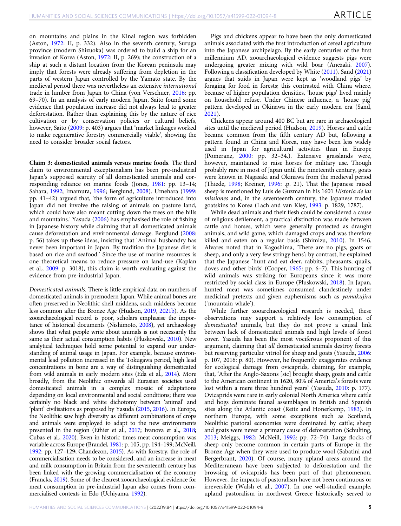on mountains and plains in the Kinai region was forbidden (Aston, [1972](#page-7-0): II, p. 332). Also in the seventh century, Suruga province (modern Shizuoka) was ordered to build a ship for an invasion of Korea (Aston, [1972](#page-7-0): II, p. 269); the construction of a ship at such a distant location from the Korean peninsula may imply that forests were already suffering from depletion in the parts of western Japan controlled by the Yamato state. By the medieval period there was nevertheless an extensive international trade in lumber from Japan to China (von Verschuer, [2016](#page-10-0): pp. 69–70). In an analysis of early modern Japan, Saito found some evidence that population increase did not always lead to greater deforestation. Rather than explaining this by the nature of rice cultivation or by conservation policies or cultural beliefs, however, Saito [\(2009](#page-9-0): p. 403) argues that 'market linkages worked to make regenerative forestry commercially viable', showing the need to consider broader social factors.

Claim 3: domesticated animals versus marine foods. The third claim to environmental exceptionalism has been pre-industrial Japan's supposed scarcity of all domesticated animals and corresponding reliance on marine foods (Jones, [1981:](#page-8-0) pp. 13–14; Sahara, [1992;](#page-9-0) Imamura, [1996;](#page-8-0) Berglund, [2008\)](#page-7-0). Umehara [\(1999:](#page-10-0) pp. 41–42) argued that, 'the form of agriculture introduced into Japan did not involve the raising of animals on pasture land, which could have also meant cutting down the trees on the hills and mountains.' Yasuda [\(2006](#page-10-0)) has emphasised the role of fishing in Japanese history while claiming that all domesticated animals cause deforestation and environmental damage. Berglund [\(2008:](#page-7-0) p. 56) takes up these ideas, insisting that 'Animal husbandry has never been important in Japan. By tradition the Japanese diet is based on rice and seafood.' Since the use of marine resources is one theoretical means to reduce pressure on land-use (Kaplan et al., [2009](#page-8-0): p. 3018), this claim is worth evaluating against the evidence from pre-industrial Japan.

Domesticated animals. There is little empirical data on numbers of domesticated animals in premodern Japan. While animal bones are often preserved in Neolithic shell middens, such middens become less common after the Bronze Age (Hudson, [2019,](#page-8-0) [2021b](#page-8-0)). As the zooarchaeological record is poor, scholars emphasise the importance of historical documents (Nishimoto, [2008\)](#page-9-0), yet archaeology shows that what people write about animals is not necessarily the same as their actual consumption habits (Pluskowski, [2010](#page-9-0)). New analytical techniques hold some potential to expand our understanding of animal usage in Japan. For example, because environmental lead pollution increased in the Tokugawa period, high lead concentrations in bone are a way of distinguishing domesticated from wild animals in early modern sites (Eda et al., [2014\)](#page-8-0). More broadly, from the Neolithic onwards all Eurasian societies used domesticated animals in a complex mosaic of adaptations depending on local environmental and social conditions; there was certainly no black and white dichotomy between 'animal' and 'plant' civilisations as proposed by Yasuda ([2015](#page-10-0), [2016\)](#page-10-0). In Europe, the Neolithic saw high diversity as different combinations of crops and animals were employed to adapt to the new environments presented in the region (Ethier et al., [2017](#page-8-0); Ivanova et al., [2018;](#page-8-0) Cubas et al., [2020\)](#page-8-0). Even in historic times meat consumption was variable across Europe (Braudel, [1981:](#page-7-0) p. 105, pp. 194–199; McNeill, [1992](#page-9-0): pp. 127–129; Chandezon, [2015\)](#page-7-0). As with forestry, the role of commercialisation needs to be considered, and an increase in meat and milk consumption in Britain from the seventeenth century has been linked with the growing commercialisation of the economy (Francks, [2019](#page-8-0)). Some of the clearest zooarchaeological evidence for meat consumption in pre-industrial Japan also comes from commercialised contexts in Edo (Uchiyama, [1992\)](#page-10-0).

Pigs and chickens appear to have been the only domesticated animals associated with the first introduction of cereal agriculture into the Japanese archipelago. By the early centuries of the first millennium AD, zooarchaeological evidence suggests pigs were undergoing greater mixing with wild boar (Anezaki, [2007](#page-7-0)). Following a classification developed by White ([2011\)](#page-10-0), Sand [\(2021](#page-9-0)) argues that suids in Japan were kept as 'woodland pigs' by foraging for food in forests; this contrasted with China where, because of higher population densities, 'house pigs' lived mainly on household refuse. Under Chinese influence, a 'house pig' pattern developed in Okinawa in the early modern era (Sand, [2021\)](#page-9-0).

Chickens appear around 400 BC but are rare in archaeological sites until the medieval period (Hudson, [2019\)](#page-8-0). Horses and cattle became common from the fifth century AD but, following a pattern found in China and Korea, may have been less widely used in Japan for agricultural activities than in Europe (Pomeranz, [2000](#page-9-0): pp. 32–34.). Extensive grasslands were, however, maintained to raise horses for military use. Though probably rare in most of Japan until the nineteenth century, goats were known in Nagasaki and Okinawa from the medieval period (Thiede, [1998](#page-10-0); Kreiner, [1996:](#page-8-0) .p. 21). That the Japanese raised sheep is mentioned by Luis de Guzman in his 1601 Historia de las missiones and, in the seventeenth century, the Japanese traded goatskins to Korea (Lach and van Kley, [1993](#page-9-0): p. 1829, 1787).

While dead animals and their flesh could be considered a cause of religious defilement, a practical distinction was made between cattle and horses, which were generally protected as draught animals, and wild game, which damaged crops and was therefore killed and eaten on a regular basis (Shimizu, [2010\)](#page-9-0). In 1546, Alvares noted that in Kagoshima, 'There are no pigs, goats or sheep, and only a very few stringy hens'; by contrast, he explained that the Japanese 'hunt and eat deer, rabbits, pheasants, quails, doves and other birds' (Cooper, [1965](#page-7-0): pp. 6–7). This hunting of wild animals was striking for Europeans since it was more restricted by social class in Europe (Pluskowski, [2018\)](#page-9-0). In Japan, hunted meat was sometimes consumed clandestinely under medicinal pretexts and given euphemisms such as yamakujira ('mountain whale').

While further zooarchaeological research is needed, these observations may support a relatively low consumption of domesticated animals, but they do not prove a causal link between lack of domesticated animals and high levels of forest cover. Yasuda has been the most vociferous proponent of this argument, claiming that all domesticated animals destroy forests but reserving particular vitriol for sheep and goats (Yasuda, [2006:](#page-10-0) p. 107, 2016: p. 80). However, he frequently exaggerates evidence for ecological damage from ovicaprids, claiming, for example, that, 'After the Anglo-Saxons [sic] brought sheep, goats and cattle to the American continent in 1620, 80% of America's forests were lost within a mere three hundred years' (Yasuda, [2010:](#page-10-0) p. 177). Ovicaprids were rare in early colonial North America where cattle and hogs dominate faunal assemblages in British and Spanish sites along the Atlantic coast (Reitz and Honerkamp, [1983](#page-9-0)). In northern Europe, with some exceptions such as Scotland, Neolithic pastoral economies were dominated by cattle; sheep and goats were never a primary cause of deforestation (Schulting, [2013;](#page-9-0) Meiggs, [1982;](#page-9-0) McNeill, [1992](#page-9-0): pp. 72–74). Large flocks of sheep only become common in certain parts of Europe in the Bronze Age when they were used to produce wool (Sabatini and Bergerbrant, [2020](#page-9-0)). Of course, many upland areas around the Mediterranean have been subjected to deforestation and the browsing of ovicaprids has been part of that phenomenon. However, the impacts of pastoralism have not been continuous or irreversible (Walsh et al., [2007\)](#page-10-0). In one well-studied example, upland pastoralism in northwest Greece historically served to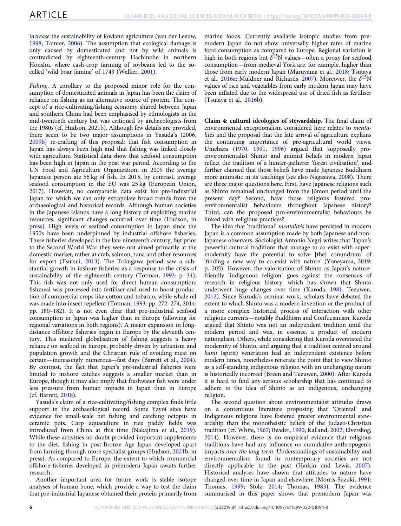increase the sustainability of lowland agriculture (van der Leeuw, [1998;](#page-10-0) Tainter, [2006](#page-9-0)). The assumption that ecological damage is only caused by domesticated and not by wild animals is contradicted by eighteenth-century Hachinohe in northern Honshu, where cash-crop farming of soybeans led to the socalled 'wild boar famine' of 1749 (Walker, [2001\)](#page-10-0).

Fishing. A corollary to the proposed minor role for the consumption of domesticated animals in Japan has been the claim of reliance on fishing as an alternative source of protein. The concept of a rice-cultivating/fishing economy shared between Japan and southern China had been emphasised by ethnologists in the mid-twentieth century but was critiqued by archaeologists from the 1980s (cf. Hudson, [2021b\)](#page-8-0). Although few details are provided, there seem to be two major assumptions in Yasuda's (2006, [2009b](#page-10-0)) re-crafting of this proposal: that fish consumption in Japan has always been high and that fishing was linked closely with agriculture. Statistical data show that seafood consumption has been high in Japan in the post war period. According to the UN Food and Agriculture Organization, in 2009 the average Japanese person ate 56 kg of fish. In 2015, by contrast, average seafood consumption in the EU was 25 kg (European Union, [2017\)](#page-8-0). However, no comparable data exist for pre-industrial Japan for which we can only extrapolate broad trends from the archaeological and historical records. Although human societies in the Japanese Islands have a long history of exploiting marine resources, significant changes occurred over time (Hudson, [in](#page-8-0) [press\)](#page-8-0). High levels of seafood consumption in Japan since the 1950s have been underpinned by industrial offshore fisheries. These fisheries developed in the late nineteenth century, but prior to the Second World War they were not aimed primarily at the domestic market, rather at crab, salmon, tuna and other resources for export (Tsutsui, [2013\)](#page-10-0). The Tokugawa period saw a substantial growth in inshore fisheries as a response to the crisis of sustainability of the eighteenth century (Totman, [1993:](#page-10-0) p. 34). This fish was not only used for direct human consumption: fishmeal was processed into fertiliser and used to boost production of commercial crops like cotton and tobacco, while whale oil was made into insect repellent (Totman, [1993](#page-10-0): pp. 272–274, 2014: pp. 180–182). It is not even clear that pre-industrial seafood consumption in Japan was higher than in Europe (allowing for regional variations in both regions). A major expansion in longdistance offshore fisheries began in Europe by the eleventh century. This medieval globalisation of fishing suggests a heavy reliance on seafood in Europe, probably driven by urbanism and population growth and the Christian rule of avoiding meat on certain—increasingly numerous—fast days (Barrett et al., [2004](#page-7-0)). By contrast, the fact that Japan's pre-industrial fisheries were limited to inshore catches suggests a smaller market than in Europe, though it may also imply that freshwater fish were under less pressure from human impacts in Japan than in Europe (cf. Barrett, [2018](#page-7-0)).

Yasuda's claim of a rice-cultivating/fishing complex finds little support in the archaeological record. Some Yayoi sites have evidence for small-scale net fishing and catching octopus in ceramic pots. Carp aquaculture in rice paddy fields was introduced from China at this time (Nakajima et al., [2019](#page-9-0)). While these activities no doubt provided important supplements to the diet, fishing in post-Bronze Age Japan developed apart from farming through more specialist groups (Hudson, [2021b](#page-8-0), in press). As compared to Europe, the extent to which commercial offshore fisheries developed in premodern Japan awaits further research.

Another important area for future work is stable isotope analyses of human bone, which provide a way to test the claim that pre-industrial Japanese obtained their protein primarily from

marine foods. Currently available isotopic studies from premodern Japan do not show universally higher rates of marine food consumption as compared to Europe. Regional variation is high in both regions but  $\delta^{15}N$  values—often a proxy for seafood consumption—from medieval York are, for example, higher than those from early modern Japan (Maruyama et al., [2018;](#page-9-0) Tsutaya et al., [2016a](#page-10-0); Müldner and Richards, [2007](#page-9-0)). Moreover, the  $\delta^{15}N$ values of rice and vegetables from early modern Japan may have been inflated due to the widespread use of dried fish as fertiliser (Tsutaya et al., [2016b](#page-10-0)).

Claim 4: cultural ideologies of stewardship. The final claim of environmental exceptionalism considered here relates to mentalités and the proposal that the late arrival of agriculture explains the continuing importance of pre-agricultural world views. Umehara [\(1970](#page-10-0), [1991](#page-10-0), [1996\)](#page-10-0) argued that supposedly proenvironmentalist Shinto and animist beliefs in modern Japan reflect the tradition of a hunter-gatherer 'forest civilisation', and further claimed that those beliefs have made Japanese Buddhism more animistic in its teachings (see also Nagasawa, [2008](#page-9-0)). There are three major questions here. First, have Japanese religions such as Shinto remained unchanged from the Jōmon period until the present day? Second, have those religions fostered proenvironmentalist behaviours throughout Japanese history? Third, can the proposed pro-environmentalist behaviours be linked with religious practices?

The idea that 'traditional' mentalités have persisted in modern Japan is a common assumption made by both Japanese and non-Japanese observers. Sociologist Antonio Negri writes that 'Japan's powerful cultural traditions that manage to co-exist with supermodernity have the potential to solve [the] conundrum' of 'finding a new way to co-exist with nature' (Yoneyama, [2019:](#page-10-0) p. 205). However, the valorisation of Shinto as Japan's naturefriendly 'indigenous religion' goes against the consensus of research in religious history, which has shown that Shinto underwent huge changes over time (Kuroda, [1981](#page-8-0); Teeuwen, [2012\)](#page-10-0). Since Kuroda's seminal work, scholars have debated the extent to which Shinto was a modern invention or the product of a more complex historical process of interaction with other religious currents—notably Buddhism and Confucianism. Kuroda argued that Shinto was not an independent tradition until the modern period and was, in essence, a product of modern nationalism. Others, while considering that Kuroda overstated the modernity of Shinto, and arguing that a tradition centred around kami (spirit) veneration had an independent existence before modern times, nonetheless reiterate the point that to view Shinto as a self-standing indigenous religion with an unchanging nature is historically incorrect (Breen and Teeuwen, [2000](#page-7-0)). After Kuroda it is hard to find any serious scholarship that has continued to adhere to the idea of Shinto as an indigenous, unchanging religion.

The second question about environmentalist attitudes draws on a contentious literature proposing that 'Oriental' and Indigenous religions have fostered greater environmental stewardship than the monotheistic beliefs of the Judaeo-Christian tradition (cf. White, [1967](#page-10-0); Reader, [1990](#page-9-0); Kalland, [2002;](#page-8-0) Elverskog, [2014\)](#page-8-0). However, there is no empirical evidence that religious traditions have had any influence on cumulative anthropogenic impacts over the long term. Understandings of sustainability and environmentalism found in contemporary societies are not directly applicable to the past (Harkin and Lewis, [2007](#page-8-0)). Historical analyses have shown that attitudes to nature have changed over time in Japan and elsewhere (Morris-Suzuki, [1991;](#page-9-0) Thomas, [1999;](#page-10-0) Stolz, [2014;](#page-9-0) Thomas, [1983](#page-10-0)). The evidence summarised in this paper shows that premodern Japan was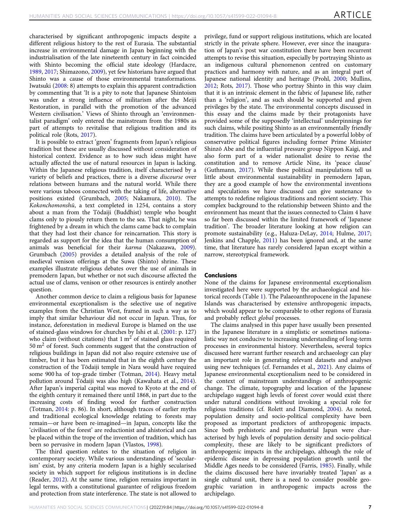characterised by significant anthropogenic impacts despite a different religious history to the rest of Eurasia. The substantial increase in environmental damage in Japan beginning with the industrialisation of the late nineteenth century in fact coincided with Shinto becoming the official state ideology (Hardacre, [1989,](#page-8-0) [2017](#page-8-0); Shimazono, [2009](#page-9-0)), yet few historians have argued that Shinto was a cause of those environmental transformations. Iwatsuki [\(2008](#page-8-0): 8) attempts to explain this apparent contradiction by commenting that 'It is a pity to note that Japanese Shintoism was under a strong influence of militarism after the Meiji Restoration, in parallel with the promotion of the advanced Western civilisation.' Views of Shinto through an 'environmentalist paradigm' only entered the mainstream from the 1980s as part of attempts to revitalise that religious tradition and its political role (Rots, [2017](#page-9-0)).

It is possible to extract 'green' fragments from Japan's religious tradition but these are usually discussed without consideration of historical context. Evidence as to how such ideas might have actually affected the use of natural resources in Japan is lacking. Within the Japanese religious tradition, itself characterised by a variety of beliefs and practices, there is a diverse discourse over relations between humans and the natural world. While there were various taboos connected with the taking of life, alternative positions existed (Grumbach, [2005;](#page-8-0) Nakamura, [2010\)](#page-9-0). The Kokonchomonshū, a text completed in 1254, contains a story about a man from the Tōdaiji (Buddhist) temple who bought clams only to piously return them to the sea. That night, he was frightened by a dream in which the clams came back to complain that they had lost their chance for reincarnation. This story is regarded as support for the idea that the human consumption of animals was beneficial for their karma (Nakazawa, [2009](#page-9-0)). Grumbach ([2005\)](#page-8-0) provides a detailed analysis of the role of medieval venison offerings at the Suwa (Shinto) shrine. These examples illustrate religious debates over the use of animals in premodern Japan, but whether or not such discourse affected the actual use of clams, venison or other resources is entirely another question.

Another common device to claim a religious basis for Japanese environmental exceptionalism is the selective use of negative examples from the Christian West, framed in such a way as to imply that similar behaviour did not occur in Japan. Thus, for instance, deforestation in medieval Europe is blamed on the use of stained-glass windows for churches by Ishi et al. [\(2001:](#page-8-0) p. 127) who claim (without citations) that  $1 \text{ m}^2$  of stained glass required  $50 \text{ m}^2$  of forest. Such comments suggest that the construction of religious buildings in Japan did not also require extensive use of timber, but it has been estimated that in the eighth century the construction of the Tōdaiji temple in Nara would have required some 900 ha of top-grade timber (Totman, [2014\)](#page-10-0). Heavy metal pollution around Tōdaiji was also high (Kawahata et al., [2014](#page-8-0)). After Japan's imperial capital was moved to Kyoto at the end of the eighth century it remained there until 1868, in part due to the increasing costs of finding wood for further construction (Totman, [2014:](#page-10-0) p. 86). In short, although traces of earlier myths and traditional ecological knowledge relating to forests may remain—or have been re-imagined—in Japan, concepts like the 'civilisation of the forest' are reductionist and ahistorical and can be placed within the trope of the invention of tradition, which has been so pervasive in modern Japan (Vlastos, [1998](#page-10-0)).

The third question relates to the situation of religion in contemporary society. While various understandings of 'secularism' exist, by any criteria modern Japan is a highly secularised society in which support for religious institutions is in decline (Reader, [2012](#page-9-0)). At the same time, religion remains important in legal terms, with a constitutional guarantee of religious freedom and protection from state interference. The state is not allowed to privilege, fund or support religious institutions, which are located strictly in the private sphere. However, ever since the inauguration of Japan's post war constitution there have been recurrent attempts to revise this situation, especially by portraying Shinto as an indigenous cultural phenomenon centred on customary practices and harmony with nature, and as an integral part of Japanese national identity and heritage (Prohl, [2000;](#page-9-0) Mullins, [2012;](#page-9-0) Rots, [2017](#page-9-0)). Those who portray Shinto in this way claim that it is an intrinsic element in the fabric of Japanese life, rather than a 'religion', and as such should be supported and given privileges by the state. The environmental concepts discussed in this essay and the claims made by their protagonists have provided some of the supposedly 'intellectual' underpinnings for such claims, while positing Shinto as an environmentally friendly tradition. The claims have been articulated by a powerful lobby of conservative political figures including former Prime Minister Shinzō Abe and the influential pressure group Nippon Kaigi, and also form part of a wider nationalist desire to revise the constitution and to remove Article Nine, its 'peace clause' (Guthmann, [2017](#page-8-0)). While these political manipulations tell us little about environmental sustainability in premodern Japan, they are a good example of how the environmental inventions and speculations we have discussed can give sustenance to attempts to redefine religious traditions and reorient society. This complex background to the relationship between Shinto and the environment has meant that the issues connected to Claim 4 have so far been discussed within the limited framework of 'Japanese tradition'. The broader literature looking at how religion can promote sustainability (e.g., Haluza-DeLay, [2014;](#page-8-0) Hulme, [2017;](#page-8-0) Jenkins and Chapple, [2011\)](#page-8-0) has been ignored and, at the same time, that literature has rarely considered Japan except within a narrow, stereotypical framework.

#### **Conclusions**

None of the claims for Japanese environmental exceptionalism investigated here were supported by the archaeological and historical records (Table [1](#page-7-0)). The Palaeoanthropocene in the Japanese Islands was characterised by extensive anthropogenic impacts, which would appear to be comparable to other regions of Eurasia and probably reflect global processes.

The claims analysed in this paper have usually been presented in the Japanese literature in a simplistic or sometimes nationalistic way not conducive to increasing understanding of long-term processes in environmental history. Nevertheless, several topics discussed here warrant further research and archaeology can play an important role in generating relevant datasets and analyses using new techniques (cf. Fernandes et al., [2021](#page-8-0)). Any claims of Japanese environmental exceptionalism need to be considered in the context of mainstream understandings of anthropogenic change. The climate, topography and location of the Japanese archipelago suggest high levels of forest cover would exist there under natural conditions without invoking a special role for religious traditions (cf. Rolett and Diamond, [2004\)](#page-9-0). As noted, population density and socio-political complexity have been proposed as important predictors of anthropogenic impacts. Since both prehistoric and pre-industrial Japan were characterised by high levels of population density and socio-political complexity, these are likely to be significant predictors of anthropogenic impacts in the archipelago, although the role of epidemic disease in depressing population growth until the Middle Ages needs to be considered (Farris, [1985\)](#page-8-0). Finally, while the claims discussed here have invariably treated 'Japan' as a single cultural unit, there is a need to consider possible geographic variation in anthropogenic impacts across the archipelago.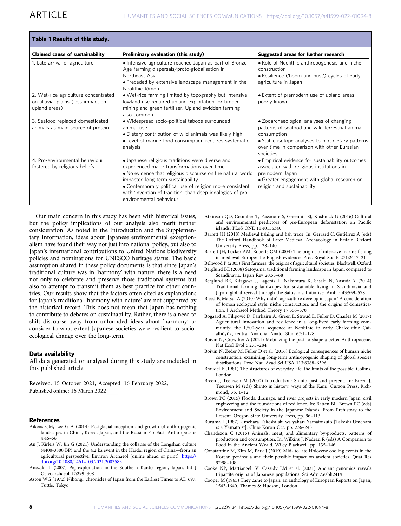<span id="page-7-0"></span>

| Table 1 Results of this study.                                                              |                                                                                                                                                                                                                                                                                                                                                          |                                                                                                                                                                                                                              |
|---------------------------------------------------------------------------------------------|----------------------------------------------------------------------------------------------------------------------------------------------------------------------------------------------------------------------------------------------------------------------------------------------------------------------------------------------------------|------------------------------------------------------------------------------------------------------------------------------------------------------------------------------------------------------------------------------|
| <b>Claimed cause of sustainability</b>                                                      | Preliminary evaluation (this study)                                                                                                                                                                                                                                                                                                                      | Suggested areas for further research                                                                                                                                                                                         |
| 1. Late arrival of agriculture                                                              | • Intensive agriculture reached Japan as part of Bronze<br>Age farming dispersals/proto-globalisation in<br>Northeast Asia<br>• Preceded by extensive landscape management in the<br>Neolithic Jōmon                                                                                                                                                     | • Role of Neolithic anthropogenesis and niche<br>construction<br>• Resilience ('boom and bust') cycles of early<br>agriculture in Japan                                                                                      |
| 2. Wet-rice agriculture concentrated<br>on alluvial plains (less impact on<br>upland areas) | • Wet-rice farming limited by topography but intensive<br>lowland use required upland exploitation for timber,<br>mining and green fertiliser. Upland swidden farming<br>also common                                                                                                                                                                     | • Extent of premodern use of upland areas<br>poorly known                                                                                                                                                                    |
| 3. Seafood replaced domesticated<br>animals as main source of protein                       | • Widespread socio-political taboos surrounded<br>animal use<br>• Dietary contribution of wild animals was likely high<br>• Level of marine food consumption requires systematic<br>analysis                                                                                                                                                             | • Zooarchaeological analyses of changing<br>patterns of seafood and wild terrestrial animal<br>consumption<br>• Stable isotope analyses to plot dietary patterns<br>over time in comparison with other Eurasian<br>societies |
| 4. Pro-environmental behaviour<br>fostered by religious beliefs                             | • Japanese religious traditions were diverse and<br>experienced major transformations over time<br>• No evidence that religious discourse on the natural world<br>impacted long-term sustainability<br>• Contemporary political use of religion more consistent<br>with 'invention of tradition' than deep ideologies of pro-<br>environmental behaviour | • Empirical evidence for sustainability outcomes<br>associated with religious institutions in<br>premodern Japan<br>• Greater engagement with global research on<br>religion and sustainability                              |

Our main concern in this study has been with historical issues, but the policy implications of our analysis also merit further consideration. As noted in the Introduction and the Supplementary Information, ideas about Japanese environmental exceptionalism have found their way not just into national policy, but also to Japan's international contributions to United Nations biodiversity policies and nominations for UNESCO heritage status. The basic assumption shared in these policy documents is that since Japan's traditional culture was in 'harmony' with nature, there is a need not only to celebrate and preserve those traditional systems but also to attempt to transmit them as best practice for other countries. Our results show that the factors often cited as explanations for Japan's traditional 'harmony with nature' are not supported by the historical record. This does not mean that Japan has nothing to contribute to debates on sustainability. Rather, there is a need to shift discourse away from unfounded ideas about 'harmony' to consider to what extent Japanese societies were resilient to socioecological change over the long-term.

# Data availability

All data generated or analysed during this study are included in this published article.

Received: 15 October 2021; Accepted: 16 February 2022; Published online: 16 March 2022

#### **References**

- Aikens CM, Lee G-A (2014) Postglacial inception and growth of anthropogenic landscapes in China, Korea, Japan, and the Russian Far East. Anthropocene 4:46–56
- An J, Kirleis W, Jin G (2021) Understanding the collapse of the Longshan culture (4400-3800 BP) and the 4.2 ka event in the Haidai region of China—from an agricultural perspective. Environ Archaeol (online ahead of print). [https://](https://doi.org/10.1080/14614103.2021.2003583) [doi.org/10.1080/14614103.2021.2003583](https://doi.org/10.1080/14614103.2021.2003583)
- Anezaki T (2007) Pig exploitation in the Southern Kanto region, Japan. Int J Osteoarchaeol 17:299–308
- Aston WG (1972) Nihongi: chronicles of Japan from the Earliest Times to AD 697. Tuttle, Tokyo
- Atkinson QD, Coomber T, Passmore S, Greenhill SJ, Kushnick G (2016) Cultural and environmental predictors of pre-European deforestation on Pacific islands. PLoS ONE 11:e0156340
- Barrett JH (2018) Medieval fishing and fish trade. In: Gerrard C, Gutiérrez A (eds) The Oxford Handbook of Later Medieval Archaeology in Britain. Oxford University Press, pp. 128–140
- Barrett JH, Locker AM, Roberts CM (2004) The origins of intensive marine fishing in medieval Europe: the English evidence. Proc Royal Soc B 271:2417–21
- Bellwood P (2005) First farmers: the origins of agricultural societies. Blackwell, Oxford
- Berglund BE (2008) Satoyama, traditional farming landscape in Japan, compared to Scandinavia. Japan Rev 20:53–68
- Berglund BE, Kitagawa J, Lagerås P, Nakamura K, Sasaki N, Yasuda Y (2014) Traditional farming landscapes for sustainable living in Scandinavia and Japan: global revival through the Satoyama Initiative. Ambio 43:559–578
- Bleed P, Matsui A (2010) Why didn't agriculture develop in Japan? A consideration of Jomon ecological style, niche construction, and the origins of domestication. J Archaeol Method Theory 17:356–370
- Bogaard A, Filipović D, Fairbairn A, Green L, Stroud E, Fuller D, Charles M (2017) Agricultural innovation and resilience in a long-lived early farming community: the 1,500-year sequence at Neolithic to early Chalcolithic Çatalhöyük, central Anatolia. Anatol Stud 67:1–128
- Boivin N, Crowther A (2021) Mobilizing the past to shape a better Anthropocene. Nat Ecol Evol 5:273–284
- Boivin N, Zeder M, Fuller D et al. (2016) Ecological consequences of human niche construction: examining long-term anthropogenic shaping of global species distributions. Proc Natl Acad Sci USA 113:6388–6396
- Braudel F (1981) The structures of everyday life: the limits of the possible. Collins, London
- Breen J, Teeuwen M (2000) Introduction: Shinto past and present. In: Breen J, Teeuwen M (eds) Shinto in history: ways of the Kami. Curzon Press, Richmond, pp. 1–12
- Brown PC (2015) Floods, drainage, and river projects in early modern Japan: civil engineering and the foundations of resilience. In: Batten BL, Brown PC (eds) Environment and Society in the Japanese Islands: From Prehistory to the Present. Oregon State University Press, pp. 96–113
- Buruma I (1987) Umehara Takeshi shi wa yahari Yamatoisuto [Takeshi Umehara is a Yamatoist]. Chūō Kōron Oct: pp. 236–243
- Chandezon C (2015) Animals, meat, and alimentary by-products: patterns of production and consumption. In: Wilkins J, Nadeau R (eds) A Companion to Food in the Ancient World. Wiley Blackwell, pp. 135–146
- Constantine M, Kim M, Park J (2019) Mid- to late Holocene cooling events in the Korean peninsula and their possible impact on ancient societies. Quat Res 92:98–108
- Cooke NP, Mattiangeli V, Cassidy LM et al. (2021) Ancient genomics reveals tripartite origins of Japanese populations. Sci Adv 7:eabh2419
- Cooper M (1965) They came to Japan: an anthology of European Reports on Japan, 1543-1640. Thames & Hudson, London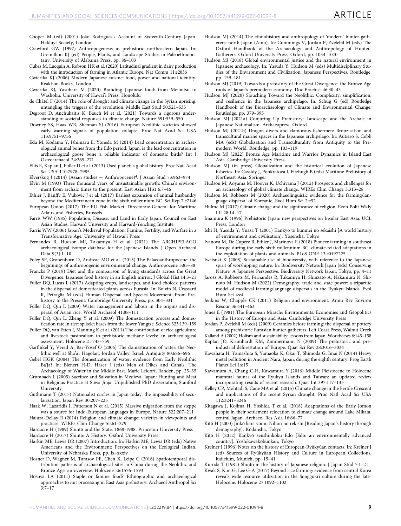- <span id="page-8-0"></span>Cooper M (ed) (2001) João Rodrigues's Account of Sixteenth-Century Japan. Hakluyt Society, London
- Crawford GW (1997) Anthropogenesis in prehistoric northeastern Japan. In: Gremillion KJ (ed) People, Plants, and Landscape Studies in Paleoethnobotany. University of Alabama Press, pp. 86–103
- Cubas M, Lucquin A, Robson HK et al. (2020) Latitudinal gradient in dairy production with the introduction of farming in Atlantic Europe. Nat Comm 11:e2036
- Cwiertka KJ (2006) Modern Japanese cuisine: food, power and national identity. Reaktion Books, London
- Cwiertka KJ, Yasuhara M (2020) Branding Japanese food: from Meibutsu to Washoku. University of Hawai'i Press, Honolulu
- de Châtel F (2014) The role of drought and climate change in the Syrian uprising: untangling the triggers of the revolution. Middle East Stud 50:521–535
- Degroot D, Anchukaitis K, Bauch M et al. (2021) Towards a rigorous understanding of societal responses to climate change. Nature 591:539–550
- Downey SS, Haas WR, Shennan SJ (2016) European Neolithic societies showed early warning signals of population collapse. Proc Nat Acad Sci USA 113:9751–9756
- Eda M, Kodama Y, Ishimaru E, Yoneda M (2014) Lead concentration in archaeological animal bones from the Edo period, Japan: is the lead concentration in archaeological goose bone a reliable indicator of domestic birds? Int J Osteoarchaeol 24:265–271
- Ellis E, Kaplan J, Fuller D et al. (2013) Used planet: a global history. Proc Natl Acad Sci USA 110:7978–7985
- Elverskog J (2014) (Asian studies + Anthropocene)<sup>4</sup>. J Asian Stud 73:963-974
- Elvin M (1993) Three thousand years of unsustainable growth: China's environment from archaic times to the present. East Asian Hist 6:7–46
- Ethier J, Bánffy E, Vuković J et al. (2017) Earliest expansion of animal husbandry beyond the Mediterranean zone in the sixth millennium BC. Sci Rep 7:e7146
- European Union (2017) The EU Fish Market. Directorate-General for Maritime Affairs and Fisheries, Brussels
- Farris WW (1985) Population, Disease, and Land in Early Japan. Council on East Asian Studies, Harvard University and Harvard-Yenching Institute
- Farris WW (2006) Japan's Medieval Population: Famine, Fertility, and Warfare in a Transformative Age. University of Hawai'i Press
- Fernandes R, Hudson MJ, Takamiya H et al. (2021) The ARCHIPELAGO archaeological isotope database for the Japanese Islands. J Open Archaeol Data 9(3):1–10
- Foley SF, Gronenborn D, Andreae MO et al. (2013) The Palaeoanthropocene: the beginnings of anthropogenic environmental change. Anthropocene 3:83–88
- Francks P (2019) Diet and the comparison of living standards across the Great Divergence: Japanese food history in an English mirror. J Global Hist 14:3–21
- Fuller DQ, Lucas L (2017) Adapting crops, landscapes, and food choices: patterns in the dispersal of domesticated plants across Eurasia. In: Boivin N, Crassard R, Petraglia M (eds) Human Dispersal and Species Movement: From Prehistory to the Present. Cambridge University Press, pp. 304–331
- Fuller DQ, Qin L (2009) Water management and labour in the origins and dispersal of Asian rice. World Archaeol 41:88–111
- Fuller DQ, Qin L, Zheng Y et al. (2009) The domestication process and domestication rate in rice: spikelet bases from the lower Yangtze. Science 323:139–159
- Fuller DQ, van Etten J, Manning K et al. (2011) The contribution of rice agriculture and livestock pastoralism to prehistoric methane levels: an archaeological assessment. Holocene 21:743–759
- Garfinkel Y, Vered A, Bar-Yosef O (2006) The domestication of water: the Neolithic well at Sha'ar Hagolan, Jordan Valley, Israel. Antiquity 80:686–696
- Gebel HGK (2004) The domestication of water: evidence from Early Neolithic Ba'ja? In: Bienert H-D, Häser J (eds) Men of Dikes and Canals: The Archaeology of Water in the Middle East. Marie Leidorf, Rahden, pp. 25–35
- Grumbach L (2005) Sacrifice and Salvation in Medieval Japan: Hunting and Meat in Religious Practice at Suwa Jinja. Unpublished PhD dissertation, Stanford University
- Guthmann T (2017) Nationalist circles in Japan today: the impossibility of secularization. Japan Rev 30:207–225
- Haak W, Lazaridis I, Patterson N et al. (2015) Massive migration from the steppe was a source for Indo-European languages in Europe. Nature 522:207–211
- Haluza-DeLay R (2014) Religion and climate change: varieties in viewpoints and practices. WIREs Clim Change 5:261–279

Hardacre H (1989) Shintō and the State, 1868-1988. Princeton University Press Hardacre H (2017) Shinto: A History. Oxford University Press

- Harkin ME, Lewis DR (2007) Introduction. In: Harkin ME, Lewis DR (eds) Native Americans and the Environment: Perspectives on the Ecological Indian. University of Nebraska Press, pp. ix–xxxiv
- Hosner D, Wagner M, Tarasov PE, Chen X, Leipe C (2016) Spatiotemporal distribution patterns of archaeological sites in China during the Neolithic and Bronze Age: an overview. Holocene 26:1576–1593
- Hosoya LA (2011) Staple or famine food? Ethnographic and archaeological approaches to nut processing in East Asia prehistory. Archaeol Anthropol Sci 3:7–17
- Hudson MJ (2014) The ethnohistory and anthropology of 'modern' hunter-gatherers: north Japan (Ainu). In: Cummings V, Jordan P, Zvelebil M (eds) The Oxford Handbook of the Archaeology and Anthropology of Hunter-Gatherers. Oxford University Press, Oxford, pp. 1054–1070
- Hudson MJ (2018) Global environmental justice and the natural environment in Japanese archaeology. In: Yasuda Y, Hudson M (eds) Multidisciplinary Studies of the Environment and Civilization: Japanese Perspectives. Routledge, pp. 159–181
- Hudson MJ (2019) Towards a prehistory of the Great Divergence: the Bronze Age roots of Japan's premodern economy. Doc Praehist 46:30–43
- Hudson MJ (2020) Slouching Toward the Neolithic: Complexity, simplification, and resilience in the Japanese archipelago. In: Schug G (ed) Routledge Handbook of the Bioarchaeology of Climate and Environmental Change. Routledge, pp. 379–395
- Hudson MJ (2021a) Conjuring Up Prehistory: Landscape and the Archaic in Japanese Nationalism. Archaeopress, Oxford
- Hudson MJ (2021b) Dragon divers and clamorous fishermen: Bronzisation and transcultural marine spaces in the Japanese archipelago. In: Autiero S, Cobb MA (eds) Globalization and Transculturality from Antiquity to the Premodern World. Routledge, pp. 103–119
- Hudson MJ (2022) Bronze Age Maritime and Warrior Dynamics in Island East Asia. Cambridge University Press
- Hudson MJ (in press) Globalization and the historical evolution of Japanese fisheries. In: Cassidy J, Ponkratova I, Fitzhugh B (eds) Maritime Prehistory of Northeast Asia. Springer
- Hudson M, Aoyama M, Hoover K, Uchiyama J (2012) Prospects and challenges for an archaeology of global climate change. WIREs Clim Change 3:313–28
- Hudson M, Robbeets M (2020) Archaeolinguistic evidence for the farming/language dispersal of Koreanic. Evol Hum Sci 2:e52
- Hulme M (2017) Climate change and the significance of religion. Econ Polit Wkly LII 28:14–17
- Imamura K (1996) Prehistoric Japan: new perspectives on Insular East Asia. UCL Press, London
- Ishi H, Yasuda Y, Yuasa T (2001) Kankyō to bunmei no sekaishi [A world history of environment and civilisation]. Yōsensha, Tokyo
- Ivanova M, De Cupere B, Ethier J, Marinova E (2018) Pioneer farming in southeast Europe during the early sixth millennium BC: climate-related adaptations in the exploitation of plants and animals. PLoS ONE 13:e0197225
- Iwatsuki K (2008) Sustainable use of biodiversity, with reference to the Japanese spirit of worshipping nature. In: Biodiversity Network Japan (eds) Conserving Nature: A Japanese Perspective. Biodiversity Network Japan, Tokyo, pp. 4–11
- Jarosz A, Robbeets M, Fernandes R, Takamiya H, Shinzato A, Nakamura N, Shinoto M, Hudson M (2022) Demography, trade and state power: a tripartite model of medieval farming/language dispersals in the Ryukyu Islands. Evol Hum Sci 4:e4
- Jenkins W, Chapple CK (2011) Religion and environment. Annu Rev Environ Resour 36:441–463
- Jones E (1981) The European Miracle: Environments, Economies and Geopolitics in the History of Europe and Asia. Cambridge University Press
- Jordan P, Zvelebil M (eds) (2009) Ceramics before farming: the dispersal of pottery among prehistoric Eurasian hunter-gatherers. Left Coast Press, Walnut Creek
- Kalland A (2002) Holism and sustainability: lessons from Japan. Worldviews 6:145–158 Kaplan JO, Krumhardt KM, Zimmermann N (2009) The prehistoric and pre-
- industrial deforestation of Europe. Quat Sci Rev 28:3016–3034 Kawahata H, Yamashita S, Yamaoka K, Okai T, Shimoda G, Imai N (2014) Heavy
- metal pollution in Ancient Nara, Japan, during the eighth century. Prog Earth Planet Sci 1:e15
- Kawamura A, Chang C-H, Kawamura Y (2016) Middle Pleistocene to Holocene mammal faunas of the Ryukyu Islands and Taiwan: an updated review incorporating results of recent research. Quat Int 397:117–135
- Kelley CP, Mohtadi S, Cane MA et al. (2015) Climate change in the Fertile Crescent and implications of the recent Syrian drought. Proc Natl Acad Sci USA 112:3241–3246
- Kitagawa J, Kojima H, Yoshida T et al. (2018) Adaptations of the Early Jomon people in their settlement relocation to climate change around Lake Mikata, central Japan. Archaeol Res Asia 16:66–77
- Kitō H (2000) Jinkō kara yomu Nihon no rekishi [Reading Japan's history through demography]. Kōdansha, Tokyo
- Kitō H (2012) Kankyō senshinkoku Edo [Edo: an environmentally advanced country]. Yoshikawakōbunkan, Tokyo
- Kreiner J (1996) Notes on the history of European-Ryūkyūan contacts. In: Kreiner J (ed) Sources of Ryūkyūan History and Culture in European Collections. iudicium, Munich, pp. 15–41

Kwak S, Kim G, Lee G-A (2017) Beyond rice farming: evidence from central Korea reveals wide resource utilization in the Songgukri culture during the late-Holocene. Holocene 27:1092–1102

Kuroda T (1981) Shinto in the history of Japanese religion. J Japan Stud 7:1–21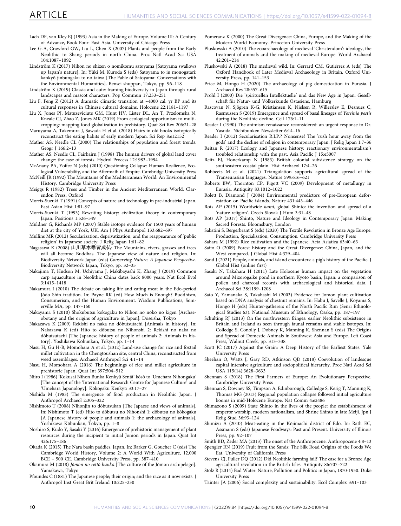- <span id="page-9-0"></span>Lach DF, van Kley EJ (1993) Asia in the Making of Europe. Volume III: A Century of Advance, Book Four: East Asia. University of Chicago Press
- Lee G-A, Crawford GW, Liu L, Chen X (2007) Plants and people from the Early Neolithic to Shang periods in north China. Proc Natl Acad Sci USA 104:1087–1092
- Lindström K (2017) Nihon no shizen o nomikomu satoyama [Satoyama swallows up Japan's nature]. In: Yūki M, Kuroda S (eds) Satoyama to iu monogatari: kankyō jinbungaku to no taiwa [The Fable of Satoyama: Conversations with the Environmental Humanities]. Bensei shuppan, Tokyo, pp. 96–118
- Lindström K (2019) Classic and cute: framing biodiversity in Japan through rural landscapes and mascot characters. Pop Commun 17:233–251
- Liu F, Feng Z (2012) A dramatic climatic transition at ~4000 cal. yr BP and its cultural responses in Chinese cultural domains. Holocene 22:1181–1197
- Liu X, Jones PJ, Matuzeviciute GM, Hunt HV, Lister DL, An T, Przelomska N, Kneale CJ, Zhao Z, Jones MK (2019) From ecological opportunism to multicropping: mapping food globalization in prehistory. Quat Sci Rev 206:21–28
- Maruyama A, Takemura J, Sawada H et al. (2018) Hairs in old books isotopically reconstruct the eating habits of early modern Japan. Sci Rep 8:e12152
- Mather AS, Needle CL (2000) The relationships of population and forest trends. Geogr J 166:2–13
- Mather AS, Needle CL, Fairbairn J (1998) The human drivers of global land cover change: the case of forests. Hydrol Process 12:1983–1994
- McAnany PA, Yoffee N (eds) (2010) Questioning Collapse: Human Resilience, Ecological Vulnerability, and the Aftermath of Empire. Cambridge University Press
- McNeill JR (1992) The Mountains of the Mediterranean World: An Environmental History. Cambridge University Press
- Meiggs R (1982) Trees and Timber in the Ancient Mediterranean World. Clarendon Press, Oxford
- Morris-Suzuki T (1991) Concepts of nature and technology in pre-industrial Japan. East Asian Hist 1:81–97
- Morris-Suzuki T (1993) Rewriting history: civilization theory in contemporary Japan. Positions 1:526–549
- Müldner G, Richards MP (2007) Stable isotope evidence for 1500 years of human diet at the city of York, UK. Am J Phys Anthropol 133:682–697
- Mullins MR (2012) Secularization, deprivatization, and the reappearance of 'public religion' in Japanese society. J Relig Japan 1:61–82
- Nagasawa K (2008) 山川草木悉皆成仏: The Mountains, rivers, grasses and trees will all become Buddhas. The Japanese view of nature and religion. In: Biodiversity Network Japan (eds) Conserving Nature: A Japanese Perspective. Biodiversity Network Japan, Tokyo, pp. 32–35
- Nakajima T, Hudson M, Uchiyama J, Makibayashi K, Zhang J (2019) Common carp aquaculture in Neolithic China dates back 8000 years. Nat Ecol Evol 3:1415–1418
- Nakamura I (2010) The debate on taking life and eating meat in the Edo-period Jōdo Shin tradition. In: Payne RK (ed) How Much is Enough? Buddhism, Consumerism, and the Human Environment. Wisdom Publications, Somerville MA, pp. 147–160
- Nakayama S (2010) Shokubutsu kōkogaku to Nihon no nōkō no kigen [Archaeobotany and the origins of agriculture in Japan]. Dōseisha, Tokyo
- Nakazawa K (2009) Rekishi no naka no dōbutsutachi [Animals in history]. In: Nakazawa K (ed) Hito to dōbutsu no Nihonshi 2: Rekishi no naka no dōbutsutachi [The Japanese history of people of animals 2: Animals in history]. Yoshikawa Kōbunkan, Tokyo, pp. 1–14
- Nasu H, Gu H-B, Momohara A et al. (2012) Land-use change for rice and foxtail millet cultivation in the Chengtoushan site, central China, reconstructed from weed assemblages. Archaeol Anthropol Sci 4:1–14
- Nasu H, Momohara A (2016) The beginnings of rice and millet agriculture in prehistoric Japan. Quat Int 397:504–512
- Niiro I (1986) 'Kokusai Nihon Bunka Kenkyū Sentā' kōsō to 'Umehara Nihongaku' [The concept of the 'International Research Centre for Japanese Culture' and 'Umehara Japanology]. Kōkogaku Kenkyū 33:17–27
- Nishida M (1983) The emergence of food production in Neolithic Japan. J Anthropol Archaeol 2:305–322
- Nishimoto T (2008) Nihonjin to dōbutsukan [The Japaese and views of animals]. In: Nishimoto T (ed) Hito to dōbutsu no Nihonshi 1: dōbutsu no kōkogaku [A Japanese history of people and animals 1: the archaeology of animals]. Yoshikawa Kōbunkan, Tokyo, pp. 1–8
- Noshiro S, Kudo Y, Sasaki Y (2016) Emergence of prehistoric management of plant resources during the incipient to initial Jomon periods in Japan. Quat Int 426:175–186
- Okada K (2015) The Nara basin paddies, Japan. In: Barker G, Goucher C (eds) The Cambridge World History, Volume 2: A World With Agriculture, 12,000 BCE – 500 CE. Cambridge University Press, pp. 387–410
- Okamura M (2018) Jōmon no rettō bunka [The culture of the Jōmon archipelago]. Yamakawa, Tokyo
- Pfoundes C (1881) The Japanese people; their origin; and the race as it now exists. J Anthropol Inst Great Brit Ireland 10:225–230
- Pomeranz K (2000) The Great Divergence: China, Europe, and the Making of the Modern World Economy. Princeton University Press
- Pluskowski A (2010) The zooarchaeology of medieval 'Christendom': ideology, the treatment of animals and the making of medieval Europe. World Archaeol 42:201–214
- Pluskowski A (2018) The medieval wild. In: Gerrard CM, Gutiérrez A (eds) The Oxford Handbook of Later Medieval Archaeology in Britain. Oxford University Press, pp. 141–153
- Price M, Hongo H (2020) The archaeology of pig domestication in Eurasia. J Archaeol Res 28:557–615
- Prohl I (2000) Die 'spirituellen Intellektuelle' und das New Age in Japan. Gesellschaft für Natur- und Völkerkunde Ostasiens, Hamburg
- Rascovan N, Sjögren K-G, Kristiansen K, Nielsen R, Willerslev E, Desnues C, Rasmussen S (2019) Emergence and spread of basal lineages of Yersinia pestis during the Neolithic decline. Cell 176:1–11
- Reader I (1990) The animism renaissance reconsidered: an urgent response to Dr. Yasuda. Nichibunken Newsletter 6:14–16
- Reader I (2012) Secularisation R.I.P.? Nonsense! The 'rush hour away from the gods' and the decline of religion in contemporary Japan. J Relig Japan 1:7–36
- Reitan R (2017) Ecology and Japanese history: reactionary environmentalism's troubled relationship with the past. Asia Pacific J 15:e5007
- Reitz EJ, Honerkamp  $\overline{N}$  (1983) British colonial subsistence strategy on the southeastern coastal plain. Hist Archaeol 17:4–26
- Robbeets M et al. (2021) Triangulation supports agricultural spread of the Transeurasian languages. Nature 599:616–621
- Roberts BW, Thornton CP, Pigott VC (2009) Development of metallurgy in Eurasia. Antiquity 83:1012–1022
- Rolett B, Diamond J (2004) Environmental predictors of pre-European deforestation on Pacific islands. Nature 431:443–446
- Rots AP (2015) Worldwide kami, global Shinto: the invention and spread of a 'nature religion'. Czech Slovak J Hum 3:31–48
- Rots AP (2017) Shinto, Nature and Ideology in Contemporary Japan: Making Sacred Forests. Bloomsbury, London
- Sabatini S, Bergerbrant S (eds) (2020) The Textile Revolution in Bronze Age Europe: Production, Specialisation, Consumption. Cambridge University Press
- Sahara M (1992) Rice cultivation and the Japanese. Acta Asiatica 63:40–63
- Saito O (2009) Forest history and the Great Divergence: China, Japan, and the West compared. J Global Hist 4:379–404
- Sand J (2021) People, animals, and island encounters: a pig's history of the Pacific. J Global Hist (online first)
- Sasaki N, Takahara H (2011) Late Holocene human impact on the vegetation around Mizorogaike pond in northern Kyoto basin, Japan: a comparison of pollen and charcoal records with archaeological and historical data. J Archaeol Sci 38:1199–1208
- Sato Y, Yamanaka S, Takahashi M (2003) Evidence for Jomon plant cultivation based on DNA analysis of chestnut remains. In: Habu J, Savelle J, Koyama S, Hongo H (eds) Hunter-gatherers of the North Pacific Rim (Senri Ethnological Studies 63). National Museum of Ethnology, Osaka, pp. 187–197
- Schulting RJ (2013) On the northwestern fringes: earlier Neolithic subsistence in Britain and Ireland as seen through faunal remains and stable isotopes. In: Colledge S, Conolly J, Dobney K, Manning K, Shennan S (eds) The Origins and Spread of Domestic Animals in Southwest Asia and Europe. Left Coast Press, Walnut Creek, pp. 313–338
- Scott JC (2017) Against the Grain: A Deep History of the Earliest States. Yale University Press
- Sheehan O, Watts J, Gray RD, Atkinson QD (2018) Coevolution of landesque capital intensive agriculture and sociopolitical hierarchy. Proc Natl Acad Sci USA 115(14):3628–3633
- Shennan S (2018) The First Farmers of Europe: An Evolutionary Perspective. Cambridge University Press
- Shennan S, Downey SS, Timpson A, Edinborough, Colledge S, Kerig T, Manning K, Thomas MG (2013) Regional population collapse followed initial agriculture booms in mid-Holocene Europe. Nat Comm 4:e2486
- Shimazono S (2009) State Shinto in the lives of the people: the establishment of emperor worship, modern nationalism, and Shrine Shinto in late Meiji. Jpn J Relig Stud 36:93–124
- Shimizu A (2010) Meat-eating in the Kōjimachi district of Edo. In: Rath EC, Assmann S (eds) Japanese Foodways: Past and Present. University of Illinois Press, pp. 92–107
- Smith BD, Zeder MA (2013) The onset of the Anthropocene. Anthropocene 4:8–13 Spengler RN (2019) Fruit from the Sands: The Silk Road Origins of the Foods We Eat. University of California Press
- Stevens CJ, Fuller DQ (2012) Did Neolithic farming fail? The case for a Bronze Age agricultural revolution in the British Isles. Antiquity 86:707–722
- Stolz R (2014) Bad Water: Nature, Pollution and Politics in Japan, 1870-1950. Duke University Press
- Tainter JA (2006) Social complexity and sustainability. Ecol Complex 3:91–103